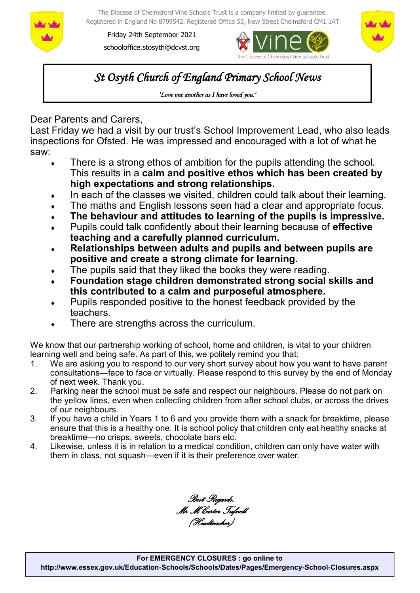

The Diocese of Chelmsford Vine Schools Trust is a company limited by guarantee. Registered in England No 8709542. Registered Office 53, New Street Chelmsford CM1 1AT

Friday 24th September 2021 schooloffice.stosyth@dcvst.org





*St Osyth Church of England Primary School News* 

*'Love one another as I have loved you.'* 

Dear Parents and Carers,

Last Friday we had a visit by our trust's School Improvement Lead, who also leads inspections for Ofsted. He was impressed and encouraged with a lot of what he saw:

- There is a strong ethos of ambition for the pupils attending the school. This results in a **calm and positive ethos which has been created by high expectations and strong relationships.**
- $\bullet$  In each of the classes we visited, children could talk about their learning.
- The maths and English lessons seen had a clear and appropriate focus.
- **The behaviour and attitudes to learning of the pupils is impressive.**
- Pupils could talk confidently about their learning because of **effective teaching and a carefully planned curriculum.**
- **Relationships between adults and pupils and between pupils are positive and create a strong climate for learning.**
- The pupils said that they liked the books they were reading.
- **Foundation stage children demonstrated strong social skills and this contributed to a calm and purposeful atmosphere.**
- Pupils responded positive to the honest feedback provided by the teachers.
- There are strengths across the curriculum.

We know that our partnership working of school, home and children, is vital to your children learning well and being safe. As part of this, we politely remind you that:

- 1. We are asking you to respond to our very short survey about how you want to have parent consultations—face to face or virtually. Please respond to this survey by the end of Monday of next week. Thank you.
- 2. Parking near the school must be safe and respect our neighbours. Please do not park on the yellow lines, even when collecting children from after school clubs, or across the drives of our neighbours.
- 3. If you have a child in Years 1 to 6 and you provide them with a snack for breaktime, please ensure that this is a healthy one. It is school policy that children only eat healthy snacks at breaktime—no crisps, sweets, chocolate bars etc.
- 4. Likewise, unless it is in relation to a medical condition, children can only have water with them in class, not squash—even if it is their preference over water.

*Best Regards, Mr M Carter-Tufnell (Headteacher)*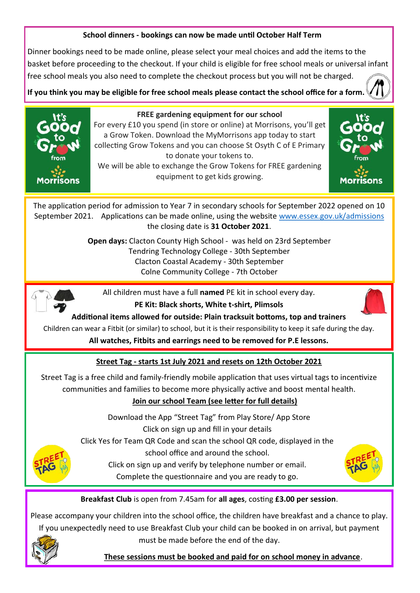### **School dinners - bookings can now be made until October Half Term**

Dinner bookings need to be made online, please select your meal choices and add the items to the basket before proceeding to the checkout. If your child is eligible for free school meals or universal infant free school meals you also need to complete the checkout process but you will not be charged.

**If you think you may be eligible for free school meals please contact the school office for a form.** 



#### **FREE gardening equipment for our school**

For every £10 you spend (in store or online) at Morrisons, you'll get a Grow Token. Download the MyMorrisons app today to start collecting Grow Tokens and you can choose St Osyth C of E Primary to donate your tokens to.

We will be able to exchange the Grow Tokens for FREE gardening equipment to get kids growing.



The application period for admission to Year 7 in secondary schools for September 2022 opened on 10 September 2021. Applications can be made online, using the website [www.essex.gov.uk/admissions](https://gbr01.safelinks.protection.outlook.com/?url=http%3A%2F%2Fwww.essex.gov.uk%2Fadmissions&data=04%7C01%7Cschooloffice.stosyth%40dcvst.org%7C2ef6e01cd56c4e7563a108d9743e1791%7C282c78034b8f4fbda3841682df47e3ad%7C1%7C0%7C637668632287896541%7CUnknown%7CTWFpb) the closing date is **31 October 2021**.

> **Open days:** Clacton County High School - was held on 23rd September Tendring Technology College - 30th September Clacton Coastal Academy - 30th September Colne Community College - 7th October



All children must have a full **named** PE kit in school every day. **PE Kit: Black shorts, White t-shirt, Plimsols**



**[A](https://www.google.co.uk/url?sa=i&rct=j&q=&esrc=s&source=images&cd=&cad=rja&uact=8&ved=0ahUKEwj389yhsYXSAhVCthoKHXv9APYQjRwIBw&url=https%3A%2F%2Fclipartfest.com%2Fcategories%2Fview%2F655efd03848383b09f5ff60c5d520a44aacdefa6%2Fpe-kit-clipart.html&psig=AFQ)dditional items allowed for outside: Plain tracksuit bottoms, top and trainers**

Children can wear a Fitbit (or similar) to school, but it is their responsibility to keep it safe during the day.

**All watches, Fitbits and earrings need to be removed for P.E lessons.**

## **Street Tag - starts 1st July 2021 and resets on 12th October 2021**

Street Tag is a free child and family-friendly mobile application that uses virtual tags to incentivize communities and families to become more physically active and boost mental health.

## **Join our school Team (see letter for full details)**

Download the App "Street Tag" from Play Store/ App Store Click on sign up and fill in your details

Click Yes for Team QR Code and scan the school QR code, displayed in the



Click on sign up and verify by telephone number or email. Complete the questionnaire and you are ready to go.



**Breakfast Club** is open from 7.45am for **all ages**, costing **£3.00 per session**.

Please accompany your children into the school office, the children have breakfast and a chance to play. If you unexpectedly need to use Breakfast Club your child can be booked in on arrival, but payment



must be made before the end of the day.

 **These sessions must be booked and paid for on school money in advance**.